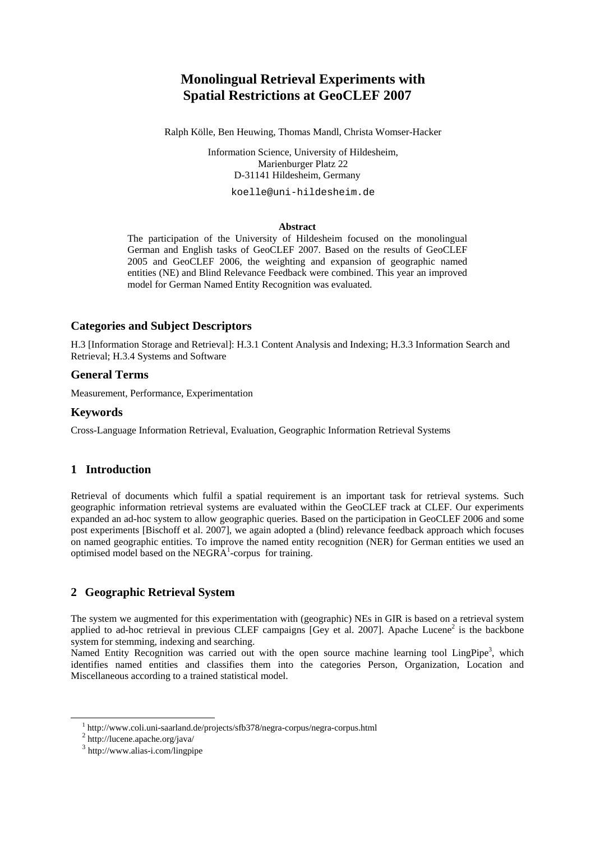# **Monolingual Retrieval Experiments with Spatial Restrictions at GeoCLEF 2007**

Ralph Kölle, Ben Heuwing, Thomas Mandl, Christa Womser-Hacker

Information Science, University of Hildesheim, Marienburger Platz 22 D-31141 Hildesheim, Germany

koelle@uni-hildesheim.de

#### **Abstract**

The participation of the University of Hildesheim focused on the monolingual German and English tasks of GeoCLEF 2007. Based on the results of GeoCLEF 2005 and GeoCLEF 2006, the weighting and expansion of geographic named entities (NE) and Blind Relevance Feedback were combined. This year an improved model for German Named Entity Recognition was evaluated.

#### **Categories and Subject Descriptors**

H.3 [Information Storage and Retrieval]: H.3.1 Content Analysis and Indexing; H.3.3 Information Search and Retrieval; H.3.4 Systems and Software

#### **General Terms**

Measurement, Performance, Experimentation

#### **Keywords**

Cross-Language Information Retrieval, Evaluation, Geographic Information Retrieval Systems

## **1 Introduction**

Retrieval of documents which fulfil a spatial requirement is an important task for retrieval systems. Such geographic information retrieval systems are evaluated within the GeoCLEF track at CLEF. Our experiments expanded an ad-hoc system to allow geographic queries. Based on the participation in GeoCLEF 2006 and some post experiments [Bischoff et al. 2007], we again adopted a (blind) relevance feedback approach which focuses on named geographic entities. To improve the named entity recognition (NER) for German entities we used an optimised model based on the NEGRA<sup>1</sup>-corpus for training.

## **2 Geographic Retrieval System**

The system we augmented for this experimentation with (geographic) NEs in GIR is based on a retrieval system applied to ad-hoc retrieval in previous CLEF campaigns [Gey et al. 2007]. Apache Lucene<sup>2</sup> is the backbone system for stemming, indexing and searching.

Named Entity Recognition was carried out with the open source machine learning tool LingPipe<sup>3</sup>, which identifies named entities and classifies them into the categories Person, Organization, Location and Miscellaneous according to a trained statistical model.

 $\frac{1}{1}$ <sup>1</sup> http://www.coli.uni-saarland.de/projects/sfb378/negra-corpus/negra-corpus.html

 $2$  http://lucene.apache.org/java/

<sup>3</sup> http://www.alias-i.com/lingpipe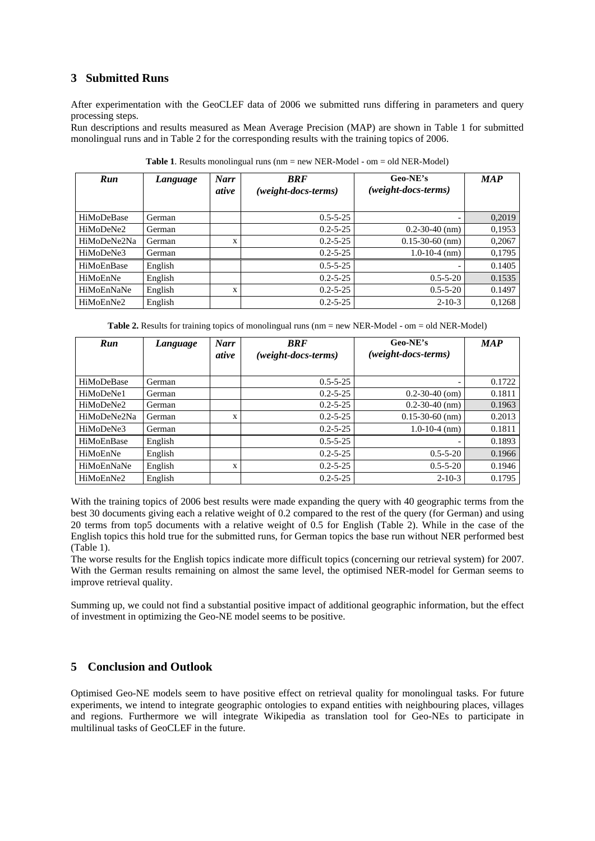## **3 Submitted Runs**

After experimentation with the GeoCLEF data of 2006 we submitted runs differing in parameters and query processing steps.

Run descriptions and results measured as Mean Average Precision (MAP) are shown in Table 1 for submitted monolingual runs and in Table 2 for the corresponding results with the training topics of 2006.

| Run         | Language | <b>Narr</b><br>ative | <b>BRF</b><br>(weight-docs-terms) | Geo-NE's<br>$(weight\text{-}docs\text{-}terms)$ | <b>MAP</b> |
|-------------|----------|----------------------|-----------------------------------|-------------------------------------------------|------------|
| HiMoDeBase  | German   |                      | $0.5 - 5 - 25$                    |                                                 | 0,2019     |
| HiMoDeNe2   | German   |                      | $0.2 - 5 - 25$                    | $0.2 - 30 - 40$ (nm)                            | 0,1953     |
| HiMoDeNe2Na | German   | X                    | $0.2 - 5 - 25$                    | $0.15 - 30 - 60$ (nm)                           | 0,2067     |
| HiMoDeNe3   | German   |                      | $0.2 - 5 - 25$                    | $1.0 - 10 - 4$ (nm)                             | 0,1795     |
| HiMoEnBase  | English  |                      | $0.5 - 5 - 25$                    |                                                 | 0.1405     |
| HiMoEnNe    | English  |                      | $0.2 - 5 - 25$                    | $0.5 - 5 - 20$                                  | 0.1535     |
| HiMoEnNaNe  | English  | X                    | $0.2 - 5 - 25$                    | $0.5 - 5 - 20$                                  | 0.1497     |
| HiMoEnNe2   | English  |                      | $0.2 - 5 - 25$                    | $2 - 10 - 3$                                    | 0,1268     |

**Table 1**. Results monolingual runs (nm = new NER-Model - om = old NER-Model)

**Table 2.** Results for training topics of monolingual runs (nm = new NER-Model - om = old NER-Model)

| Run         | Language | <b>Narr</b><br>ative | <b>BRF</b><br>$(weight\text{-}docs\text{-}terms)$ | Geo-NE's<br>(weight-docs-terms) | <b>MAP</b> |
|-------------|----------|----------------------|---------------------------------------------------|---------------------------------|------------|
| HiMoDeBase  | German   |                      | $0.5 - 5 - 25$                                    |                                 | 0.1722     |
| HiMoDeNe1   | German   |                      | $0.2 - 5 - 25$                                    | $0.2 - 30 - 40$ (om)            | 0.1811     |
| HiMoDeNe2   | German   |                      | $0.2 - 5 - 25$                                    | $0.2 - 30 - 40$ (nm)            | 0.1963     |
| HiMoDeNe2Na | German   | X                    | $0.2 - 5 - 25$                                    | $0.15 - 30 - 60$ (nm)           | 0.2013     |
| HiMoDeNe3   | German   |                      | $0.2 - 5 - 25$                                    | $1.0 - 10 - 4$ (nm)             | 0.1811     |
| HiMoEnBase  | English  |                      | $0.5 - 5 - 25$                                    |                                 | 0.1893     |
| HiMoEnNe    | English  |                      | $0.2 - 5 - 25$                                    | $0.5 - 5 - 20$                  | 0.1966     |
| HiMoEnNaNe  | English  | X                    | $0.2 - 5 - 25$                                    | $0.5 - 5 - 20$                  | 0.1946     |
| HiMoEnNe2   | English  |                      | $0.2 - 5 - 25$                                    | $2 - 10 - 3$                    | 0.1795     |

With the training topics of 2006 best results were made expanding the query with 40 geographic terms from the best 30 documents giving each a relative weight of 0.2 compared to the rest of the query (for German) and using 20 terms from top5 documents with a relative weight of 0.5 for English (Table 2). While in the case of the English topics this hold true for the submitted runs, for German topics the base run without NER performed best (Table 1).

The worse results for the English topics indicate more difficult topics (concerning our retrieval system) for 2007. With the German results remaining on almost the same level, the optimised NER-model for German seems to improve retrieval quality.

Summing up, we could not find a substantial positive impact of additional geographic information, but the effect of investment in optimizing the Geo-NE model seems to be positive.

# **5 Conclusion and Outlook**

Optimised Geo-NE models seem to have positive effect on retrieval quality for monolingual tasks. For future experiments, we intend to integrate geographic ontologies to expand entities with neighbouring places, villages and regions. Furthermore we will integrate Wikipedia as translation tool for Geo-NEs to participate in multilinual tasks of GeoCLEF in the future.